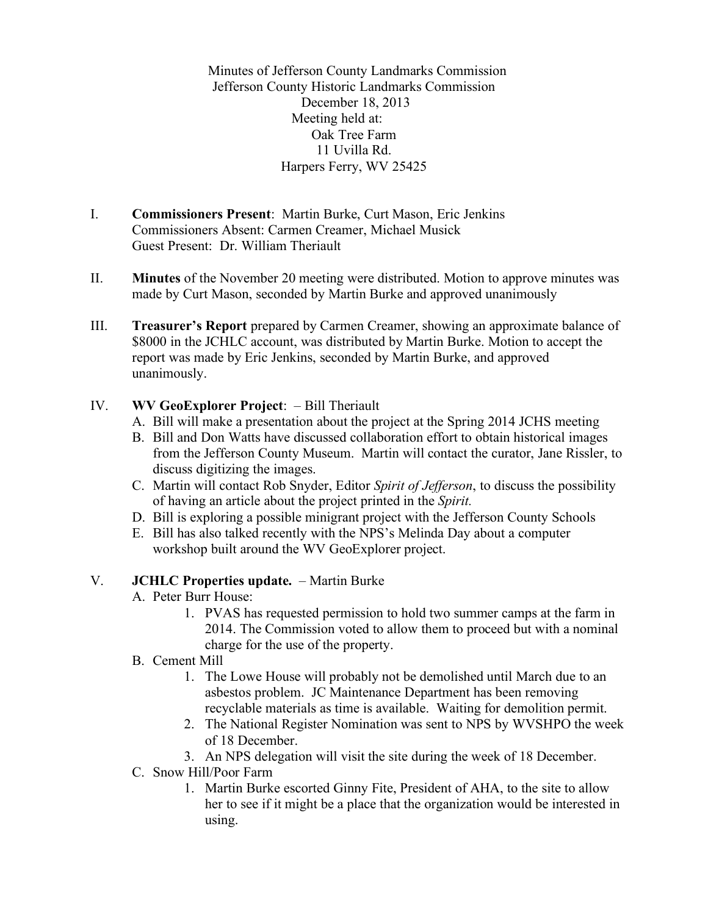Minutes of Jefferson County Landmarks Commission Jefferson County Historic Landmarks Commission December 18, 2013 Meeting held at: Oak Tree Farm 11 Uvilla Rd. Harpers Ferry, WV 25425

- I. **Commissioners Present**: Martin Burke, Curt Mason, Eric Jenkins Commissioners Absent: Carmen Creamer, Michael Musick Guest Present: Dr. William Theriault
- II. **Minutes** of the November 20 meeting were distributed. Motion to approve minutes was made by Curt Mason, seconded by Martin Burke and approved unanimously
- III. **Treasurer's Report** prepared by Carmen Creamer, showing an approximate balance of \$8000 in the JCHLC account, was distributed by Martin Burke. Motion to accept the report was made by Eric Jenkins, seconded by Martin Burke, and approved unanimously.

### IV. **WV GeoExplorer Project**: – Bill Theriault

- A. Bill will make a presentation about the project at the Spring 2014 JCHS meeting
- B. Bill and Don Watts have discussed collaboration effort to obtain historical images from the Jefferson County Museum. Martin will contact the curator, Jane Rissler, to discuss digitizing the images.
- C. Martin will contact Rob Snyder, Editor *Spirit of Jefferson*, to discuss the possibility of having an article about the project printed in the *Spirit.*
- D. Bill is exploring a possible minigrant project with the Jefferson County Schools
- E. Bill has also talked recently with the NPS's Melinda Day about a computer workshop built around the WV GeoExplorer project.

### V. **JCHLC Properties update.** – Martin Burke

- A. Peter Burr House:
	- 1. PVAS has requested permission to hold two summer camps at the farm in 2014. The Commission voted to allow them to proceed but with a nominal charge for the use of the property.
- B. Cement Mill
	- 1. The Lowe House will probably not be demolished until March due to an asbestos problem. JC Maintenance Department has been removing recyclable materials as time is available. Waiting for demolition permit.
	- 2. The National Register Nomination was sent to NPS by WVSHPO the week of 18 December.
	- 3. An NPS delegation will visit the site during the week of 18 December.
- C. Snow Hill/Poor Farm
	- 1. Martin Burke escorted Ginny Fite, President of AHA, to the site to allow her to see if it might be a place that the organization would be interested in using.